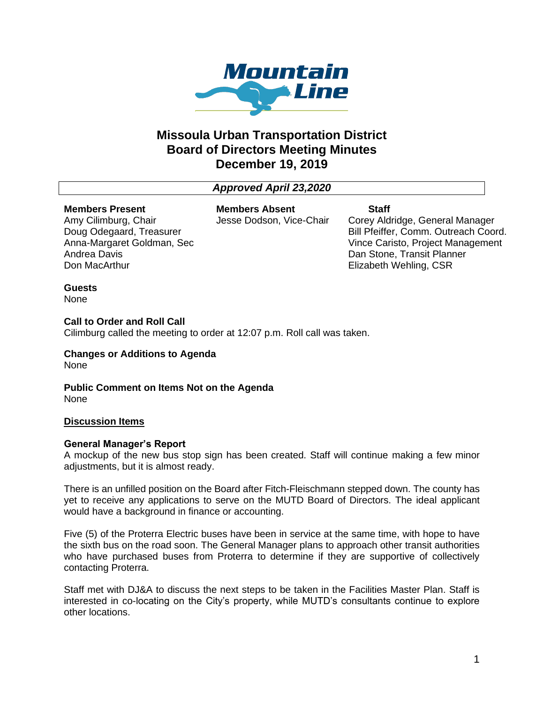

# **Missoula Urban Transportation District Board of Directors Meeting Minutes December 19, 2019**

# *Approved April 23,2020*

## **Members Present**

Amy Cilimburg, Chair Doug Odegaard, Treasurer Anna-Margaret Goldman, Sec Andrea Davis Don MacArthur

**Members Absent** Jesse Dodson, Vice-Chair **Staff**

Corey Aldridge, General Manager Bill Pfeiffer, Comm. Outreach Coord. Vince Caristo, Project Management Dan Stone, Transit Planner Elizabeth Wehling, CSR

# **Guests**

None

# **Call to Order and Roll Call**

Cilimburg called the meeting to order at 12:07 p.m. Roll call was taken.

**Changes or Additions to Agenda** None

**Public Comment on Items Not on the Agenda** None

# **Discussion Items**

### **General Manager's Report**

A mockup of the new bus stop sign has been created. Staff will continue making a few minor adjustments, but it is almost ready.

There is an unfilled position on the Board after Fitch-Fleischmann stepped down. The county has yet to receive any applications to serve on the MUTD Board of Directors. The ideal applicant would have a background in finance or accounting.

Five (5) of the Proterra Electric buses have been in service at the same time, with hope to have the sixth bus on the road soon. The General Manager plans to approach other transit authorities who have purchased buses from Proterra to determine if they are supportive of collectively contacting Proterra.

Staff met with DJ&A to discuss the next steps to be taken in the Facilities Master Plan. Staff is interested in co-locating on the City's property, while MUTD's consultants continue to explore other locations.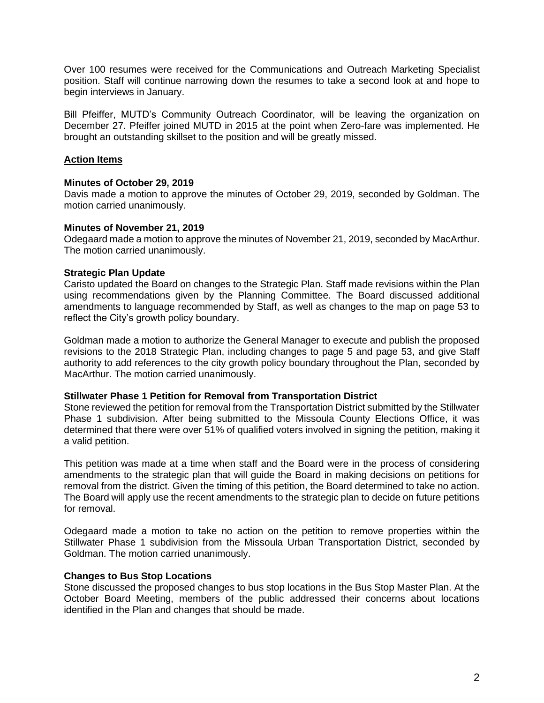Over 100 resumes were received for the Communications and Outreach Marketing Specialist position. Staff will continue narrowing down the resumes to take a second look at and hope to begin interviews in January.

Bill Pfeiffer, MUTD's Community Outreach Coordinator, will be leaving the organization on December 27. Pfeiffer joined MUTD in 2015 at the point when Zero-fare was implemented. He brought an outstanding skillset to the position and will be greatly missed.

# **Action Items**

## **Minutes of October 29, 2019**

Davis made a motion to approve the minutes of October 29, 2019, seconded by Goldman. The motion carried unanimously.

## **Minutes of November 21, 2019**

Odegaard made a motion to approve the minutes of November 21, 2019, seconded by MacArthur. The motion carried unanimously.

## **Strategic Plan Update**

Caristo updated the Board on changes to the Strategic Plan. Staff made revisions within the Plan using recommendations given by the Planning Committee. The Board discussed additional amendments to language recommended by Staff, as well as changes to the map on page 53 to reflect the City's growth policy boundary.

Goldman made a motion to authorize the General Manager to execute and publish the proposed revisions to the 2018 Strategic Plan, including changes to page 5 and page 53, and give Staff authority to add references to the city growth policy boundary throughout the Plan, seconded by MacArthur. The motion carried unanimously.

### **Stillwater Phase 1 Petition for Removal from Transportation District**

Stone reviewed the petition for removal from the Transportation District submitted by the Stillwater Phase 1 subdivision. After being submitted to the Missoula County Elections Office, it was determined that there were over 51% of qualified voters involved in signing the petition, making it a valid petition.

This petition was made at a time when staff and the Board were in the process of considering amendments to the strategic plan that will guide the Board in making decisions on petitions for removal from the district. Given the timing of this petition, the Board determined to take no action. The Board will apply use the recent amendments to the strategic plan to decide on future petitions for removal.

Odegaard made a motion to take no action on the petition to remove properties within the Stillwater Phase 1 subdivision from the Missoula Urban Transportation District, seconded by Goldman. The motion carried unanimously.

### **Changes to Bus Stop Locations**

Stone discussed the proposed changes to bus stop locations in the Bus Stop Master Plan. At the October Board Meeting, members of the public addressed their concerns about locations identified in the Plan and changes that should be made.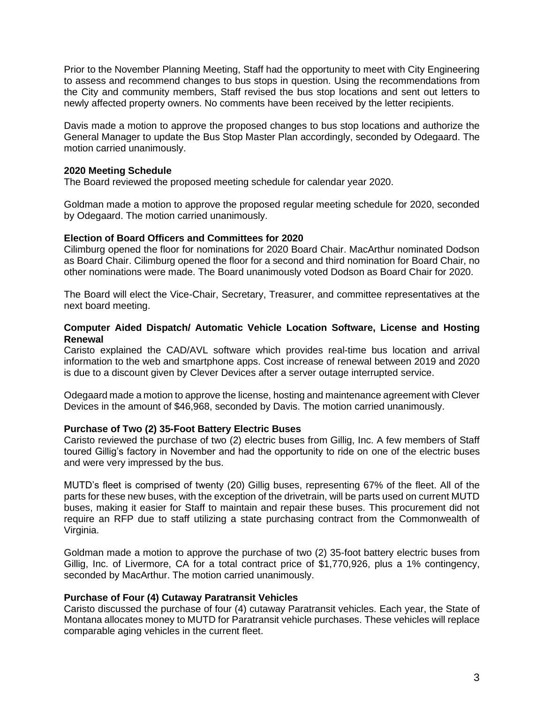Prior to the November Planning Meeting, Staff had the opportunity to meet with City Engineering to assess and recommend changes to bus stops in question. Using the recommendations from the City and community members, Staff revised the bus stop locations and sent out letters to newly affected property owners. No comments have been received by the letter recipients.

Davis made a motion to approve the proposed changes to bus stop locations and authorize the General Manager to update the Bus Stop Master Plan accordingly, seconded by Odegaard. The motion carried unanimously.

## **2020 Meeting Schedule**

The Board reviewed the proposed meeting schedule for calendar year 2020.

Goldman made a motion to approve the proposed regular meeting schedule for 2020, seconded by Odegaard. The motion carried unanimously.

### **Election of Board Officers and Committees for 2020**

Cilimburg opened the floor for nominations for 2020 Board Chair. MacArthur nominated Dodson as Board Chair. Cilimburg opened the floor for a second and third nomination for Board Chair, no other nominations were made. The Board unanimously voted Dodson as Board Chair for 2020.

The Board will elect the Vice-Chair, Secretary, Treasurer, and committee representatives at the next board meeting.

## **Computer Aided Dispatch/ Automatic Vehicle Location Software, License and Hosting Renewal**

Caristo explained the CAD/AVL software which provides real-time bus location and arrival information to the web and smartphone apps. Cost increase of renewal between 2019 and 2020 is due to a discount given by Clever Devices after a server outage interrupted service.

Odegaard made a motion to approve the license, hosting and maintenance agreement with Clever Devices in the amount of \$46,968, seconded by Davis. The motion carried unanimously.

### **Purchase of Two (2) 35-Foot Battery Electric Buses**

Caristo reviewed the purchase of two (2) electric buses from Gillig, Inc. A few members of Staff toured Gillig's factory in November and had the opportunity to ride on one of the electric buses and were very impressed by the bus.

MUTD's fleet is comprised of twenty (20) Gillig buses, representing 67% of the fleet. All of the parts for these new buses, with the exception of the drivetrain, will be parts used on current MUTD buses, making it easier for Staff to maintain and repair these buses. This procurement did not require an RFP due to staff utilizing a state purchasing contract from the Commonwealth of Virginia.

Goldman made a motion to approve the purchase of two (2) 35-foot battery electric buses from Gillig, Inc. of Livermore, CA for a total contract price of \$1,770,926, plus a 1% contingency, seconded by MacArthur. The motion carried unanimously.

### **Purchase of Four (4) Cutaway Paratransit Vehicles**

Caristo discussed the purchase of four (4) cutaway Paratransit vehicles. Each year, the State of Montana allocates money to MUTD for Paratransit vehicle purchases. These vehicles will replace comparable aging vehicles in the current fleet.